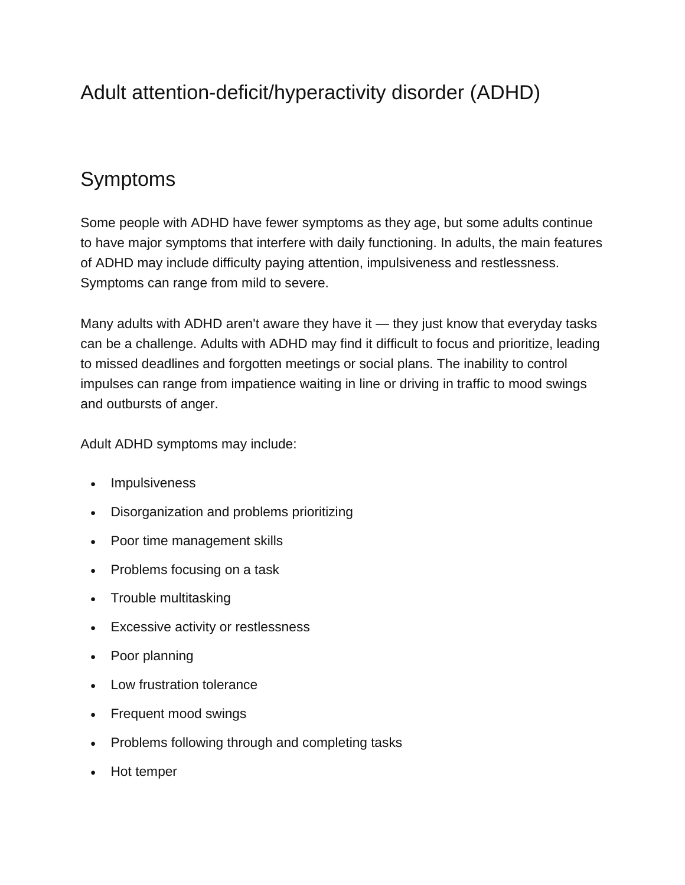## Adult attention-deficit/hyperactivity disorder (ADHD)

## Symptoms

Some people with ADHD have fewer symptoms as they age, but some adults continue to have major symptoms that interfere with daily functioning. In adults, the main features of ADHD may include difficulty paying attention, impulsiveness and restlessness. Symptoms can range from mild to severe.

Many adults with ADHD aren't aware they have it — they just know that everyday tasks can be a challenge. Adults with ADHD may find it difficult to focus and prioritize, leading to missed deadlines and forgotten meetings or social plans. The inability to control impulses can range from impatience waiting in line or driving in traffic to mood swings and outbursts of anger.

Adult ADHD symptoms may include:

- Impulsiveness
- Disorganization and problems prioritizing
- Poor time management skills
- Problems focusing on a task
- Trouble multitasking
- Excessive activity or restlessness
- Poor planning
- Low frustration tolerance
- Frequent mood swings
- Problems following through and completing tasks
- Hot temper